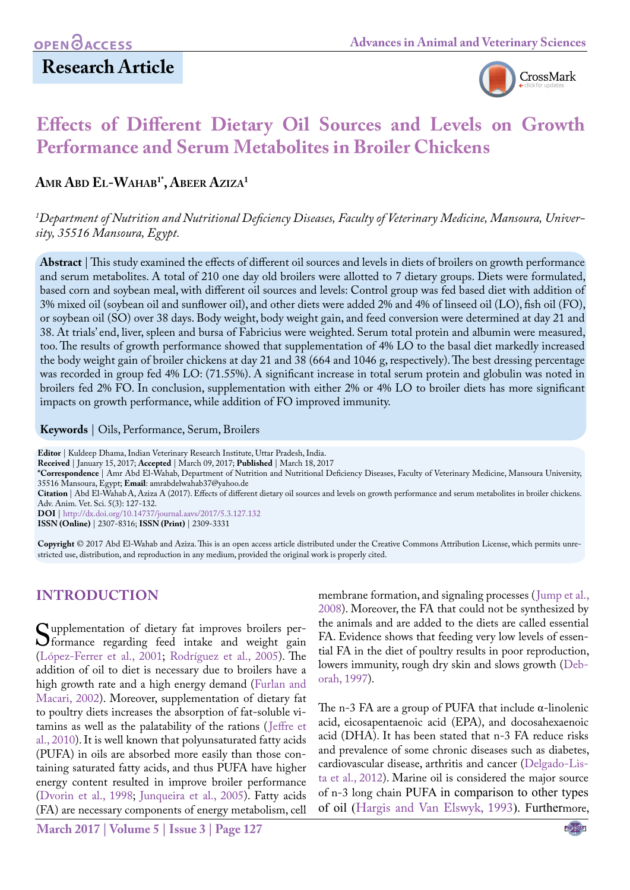

# **Effects of Different Dietary Oil Sources and Levels on Growth Performance and Serum Metabolites in Broiler Chickens**

AMR ABD EL-WAHAB<sup>1\*</sup>, ABEER AZIZA<sup>1</sup>

*1 Department of Nutrition and Nutritional Deficiency Diseases, Faculty of Veterinary Medicine, Mansoura, University, 35516 Mansoura, Egypt.*

**Abstract** | This study examined the effects of different oil sources and levels in diets of broilers on growth performance and serum metabolites. A total of 210 one day old broilers were allotted to 7 dietary groups. Diets were formulated, based corn and soybean meal, with different oil sources and levels: Control group was fed based diet with addition of 3% mixed oil (soybean oil and sunflower oil), and other diets were added 2% and 4% of linseed oil (LO), fish oil (FO), or soybean oil (SO) over 38 days. Body weight, body weight gain, and feed conversion were determined at day 21 and 38. At trials' end, liver, spleen and bursa of Fabricius were weighted. Serum total protein and albumin were measured, too. The results of growth performance showed that supplementation of 4% LO to the basal diet markedly increased the body weight gain of broiler chickens at day 21 and 38 (664 and 1046 g, respectively). The best dressing percentage was recorded in group fed 4% LO: (71.55%). A significant increase in total serum protein and globulin was noted in broilers fed 2% FO. In conclusion, supplementation with either 2% or 4% LO to broiler diets has more significant impacts on growth performance, while addition of FO improved immunity.

**Keywords** | Oils, Performance, Serum, Broilers

**Editor** | Kuldeep Dhama, Indian Veterinary Research Institute, Uttar Pradesh, India.

**Received** | January 15, 2017; **Accepted** | March 09, 2017; **Published** | March 18, 2017

**\*Correspondence** | Amr Abd El-Wahab, Department of Nutrition and Nutritional Deficiency Diseases, Faculty of Veterinary Medicine, Mansoura University, 35516 Mansoura, Egypt; **Email**: amrabdelwahab37@yahoo.de

**Citation** | Abd El-WahabA, Aziza A (2017). Effects of different dietary oil sources and levels on growth performance and serum metabolites in broiler chickens. Adv. Anim. Vet. Sci. 5(3): 127-132.

**DOI** | <http://dx.doi.org/10.14737/journal.aavs/2017/5.3.127.132>

**ISSN (Online)** | 2307-8316; **ISSN (Print)** | 2309-3331

**Copyright** © 2017 Abd El-Wahab and Aziza. This is an open access article distributed under the Creative Commons Attribution License, which permits unrestricted use, distribution, and reproduction in any medium, provided the original work is properly cited.

# **INTRODUCTION**

Supplementation of dietary fat improves broilers per-<br>formance regarding feed intake and weight gain<br>(Lónez-Ferrer et al. 2001: Rodríguez et al. 2005) The (López-Ferrer et al., 2001; Rodríguez et al., 2005). The addition of oil to diet is necessary due to broilers have a high growth rate and a high energy demand (Furlan and Macari, 2002). Moreover, supplementation of dietary fat to poultry diets increases the absorption of fat-soluble vitamins as well as the palatability of the rations ([Jeffre et](#page-5-1)  [al., 2010\)](#page-5-1). It is well known that polyunsaturated fatty acids (PUFA) in oils are absorbed more easily than those containing saturated fatty acids, and thus PUFA have higher energy content resulted in improve broiler performance ([Dvorin et al., 1998](#page-4-0); Junqueira et al., 2005). Fatty acids (FA) are necessary components of energy metabolism, cell

membrane formation, and signaling processes ([Jump et al.,](#page-5-2) [2008\)](#page-5-2). Moreover, the FA that could not be synthesized by the animals and are added to the diets are called essential FA. Evidence shows that feeding very low levels of essential FA in the diet of poultry results in poor reproduction, lowers immunity, rough dry skin and slows growth ([Deb](#page-4-1)[orah, 1997\)](#page-4-1).

The n-3 FA are a group of PUFA that include  $α$ -linolenic acid, eicosapentaenoic acid (EPA), and docosahexaenoic acid (DHA). It has been stated that n-3 FA reduce risks and prevalence of some chronic diseases such as diabetes, cardiovascular disease, arthritis and cancer ([Delgado-Lis](#page-5-3)[ta et al., 2012\)](#page-5-3). Marine oil is considered the major source of n-3 long chain PUFA in comparison to other types of oil ([Hargis and Van Elswyk, 1993](#page-5-4)). Furthermore,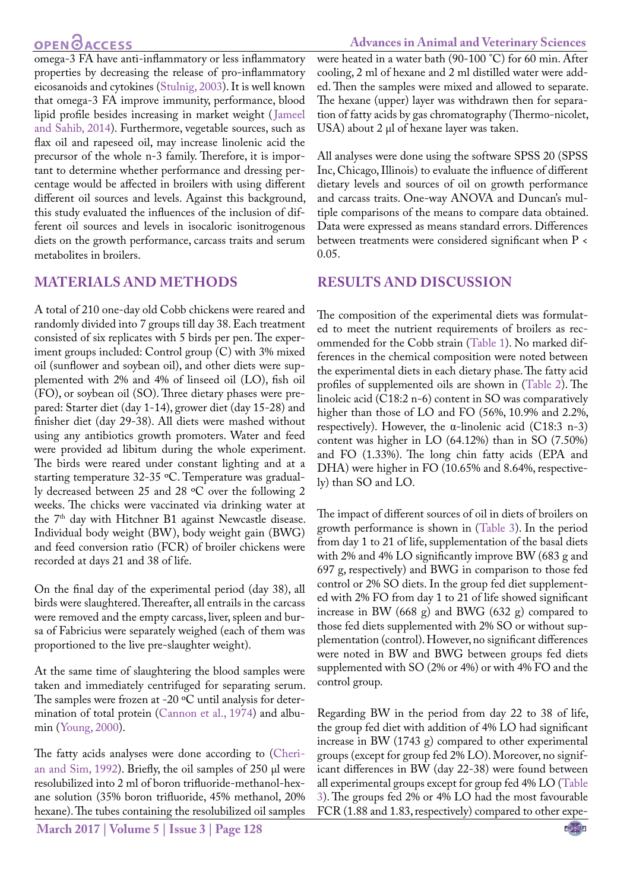# **OPEN CACCESS**

omega-3 FA have anti-inflammatory or less inflammatory properties by decreasing the release of pro-inflammatory eicosanoids and cytokines ([Stulnig, 2003](#page-5-5)). It is well known that omega-3 FA improve immunity, performance, blood lipid profile besides increasing in market weight ([Jameel](#page-5-6) [and Sahib, 2014\)](#page-5-6). Furthermore, vegetable sources, such as flax oil and rapeseed oil, may increase linolenic acid the precursor of the whole n-3 family. Therefore, it is important to determine whether performance and dressing percentage would be affected in broilers with using different different oil sources and levels. Against this background, this study evaluated the influences of the inclusion of different oil sources and levels in isocaloric isonitrogenous diets on the growth performance, carcass traits and serum metabolites in broilers.

### **MATERIALS AND METHODS**

A total of 210 one-day old Cobb chickens were reared and randomly divided into 7 groups till day 38. Each treatment consisted of six replicates with 5 birds per pen. The experiment groups included: Control group (C) with 3% mixed oil (sunflower and soybean oil), and other diets were supplemented with 2% and 4% of linseed oil (LO), fish oil (FO), or soybean oil (SO). Three dietary phases were prepared: Starter diet (day 1-14), grower diet (day 15-28) and finisher diet (day 29-38). All diets were mashed without using any antibiotics growth promoters. Water and feed were provided ad libitum during the whole experiment. The birds were reared under constant lighting and at a starting temperature 32-35 ºC. Temperature was gradually decreased between 25 and 28 ºC over the following 2 weeks. The chicks were vaccinated via drinking water at the 7<sup>th</sup> day with Hitchner B1 against Newcastle disease. Individual body weight (BW), body weight gain (BWG) and feed conversion ratio (FCR) of broiler chickens were recorded at days 21 and 38 of life.

On the final day of the experimental period (day 38), all birds were slaughtered. Thereafter, all entrails in the carcass were removed and the empty carcass, liver, spleen and bursa of Fabricius were separately weighed (each of them was proportioned to the live pre-slaughter weight).

At the same time of slaughtering the blood samples were taken and immediately centrifuged for separating serum. The samples were frozen at -20 °C until analysis for determination of total protein [\(Cannon et al., 1974\)](#page-4-2) and albumin ([Young, 2000](#page-5-7)).

The fatty acids analyses were done according to (Cherian and Sim, 1992). Briefly, the oil samples of 250 µl were resolubilized into 2 ml of boron trifluoride-methanol-hexane solution (35% boron trifluoride, 45% methanol, 20% hexane). The tubes containing the resolubilized oil samples

**March 2017 | Volume 5 | Issue 3 | Page 128**

were heated in a water bath (90-100 °C) for 60 min. After cooling, 2 ml of hexane and 2 ml distilled water were added. Then the samples were mixed and allowed to separate. The hexane (upper) layer was withdrawn then for separation of fatty acids by gas chromatography (Thermo-nicolet, USA) about 2  $\mu$ l of hexane layer was taken.

All analyses were done using the software SPSS 20 (SPSS Inc, Chicago, Illinois) to evaluate the influence of different dietary levels and sources of oil on growth performance and carcass traits. One-way ANOVA and Duncan's multiple comparisons of the means to compare data obtained. Data were expressed as means standard errors. Differences between treatments were considered significant when P < 0.05.

### **RESULTS AND DISCUSSION**

The composition of the experimental diets was formulated to meet the nutrient requirements of broilers as recommended for the Cobb strain (Table 1). No marked differences in the chemical composition were noted between the experimental diets in each dietary phase. The fatty acid profiles of supplemented oils are shown in (Table 2). The linoleic acid (C18:2 n-6) content in SO was comparatively higher than those of LO and FO (56%, 10.9% and 2.2%, respectively). However, the α-linolenic acid (C18:3 n-3) content was higher in LO (64.12%) than in SO (7.50%) and FO (1.33%). The long chin fatty acids (EPA and DHA) were higher in FO (10.65% and 8.64%, respectively) than SO and LO.

The impact of different sources of oil in diets of broilers on growth performance is shown in (Table 3). In the period from day 1 to 21 of life, supplementation of the basal diets with 2% and 4% LO significantly improve BW (683 g and 697 g, respectively) and BWG in comparison to those fed control or 2% SO diets. In the group fed diet supplemented with 2% FO from day 1 to 21 of life showed significant increase in BW (668 g) and BWG (632 g) compared to those fed diets supplemented with 2% SO or without supplementation (control). However, no significant differences were noted in BW and BWG between groups fed diets supplemented with SO (2% or 4%) or with 4% FO and the control group.

Regarding BW in the period from day 22 to 38 of life, the group fed diet with addition of 4% LO had significant increase in BW (1743 g) compared to other experimental groups (except for group fed 2% LO). Moreover, no significant differences in BW (day 22-38) were found between all experimental groups except for group fed 4% LO (Table 3). The groups fed 2% or 4% LO had the most favourable FCR (1.88 and 1.83, respectively) compared to other expe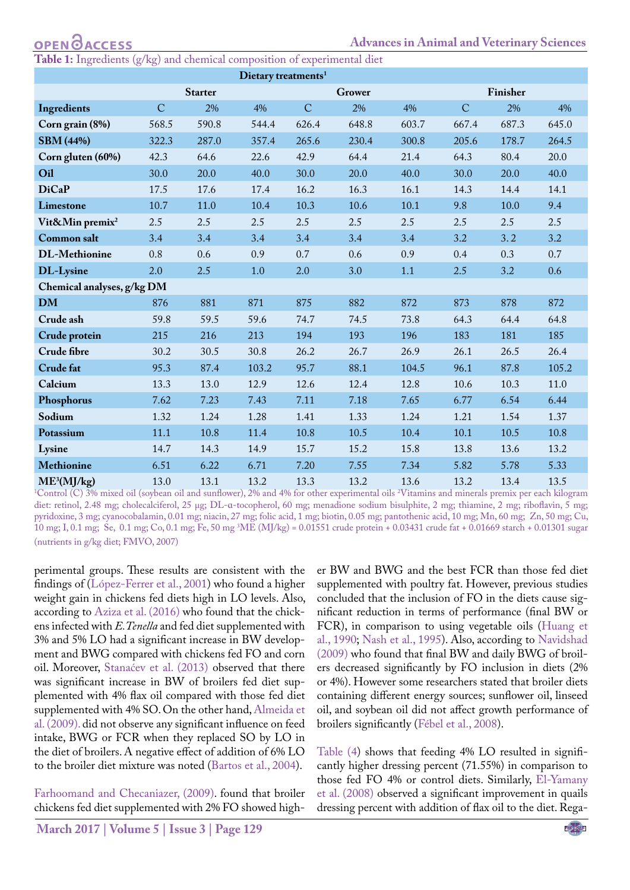**Table 1:** Ingredients (g/kg) and chemical composition of experimental diet

| Dietary treatments <sup>1</sup> |             |                          |       |             |       |          |                |       |       |
|---------------------------------|-------------|--------------------------|-------|-------------|-------|----------|----------------|-------|-------|
|                                 |             | <b>Starter</b><br>Grower |       |             |       | Finisher |                |       |       |
| Ingredients                     | $\mathbf C$ | 2%                       | 4%    | $\mathbf C$ | 2%    | 4%       | $\overline{C}$ | 2%    | 4%    |
| Corn grain (8%)                 | 568.5       | 590.8                    | 544.4 | 626.4       | 648.8 | 603.7    | 667.4          | 687.3 | 645.0 |
| <b>SBM</b> (44%)                | 322.3       | 287.0                    | 357.4 | 265.6       | 230.4 | 300.8    | 205.6          | 178.7 | 264.5 |
| Corn gluten (60%)               | 42.3        | 64.6                     | 22.6  | 42.9        | 64.4  | 21.4     | 64.3           | 80.4  | 20.0  |
| Oil                             | 30.0        | 20.0                     | 40.0  | 30.0        | 20.0  | 40.0     | 30.0           | 20.0  | 40.0  |
| <b>DiCaP</b>                    | 17.5        | 17.6                     | 17.4  | 16.2        | 16.3  | 16.1     | 14.3           | 14.4  | 14.1  |
| <b>Limestone</b>                | 10.7        | 11.0                     | 10.4  | 10.3        | 10.6  | 10.1     | 9.8            | 10.0  | 9.4   |
| Vit&Min premix <sup>2</sup>     | 2.5         | 2.5                      | 2.5   | 2.5         | 2.5   | 2.5      | 2.5            | 2.5   | 2.5   |
| <b>Common salt</b>              | 3.4         | 3.4                      | 3.4   | 3.4         | 3.4   | 3.4      | 3.2            | 3.2   | 3.2   |
| <b>DL-Methionine</b>            | 0.8         | 0.6                      | 0.9   | 0.7         | 0.6   | 0.9      | 0.4            | 0.3   | 0.7   |
| DL-Lysine                       | 2.0         | 2.5                      | 1.0   | 2.0         | 3.0   | 1.1      | 2.5            | 3.2   | 0.6   |
| Chemical analyses, g/kg DM      |             |                          |       |             |       |          |                |       |       |
| <b>DM</b>                       | 876         | 881                      | 871   | 875         | 882   | 872      | 873            | 878   | 872   |
| Crude ash                       | 59.8        | 59.5                     | 59.6  | 74.7        | 74.5  | 73.8     | 64.3           | 64.4  | 64.8  |
| Crude protein                   | 215         | 216                      | 213   | 194         | 193   | 196      | 183            | 181   | 185   |
| Crude fibre                     | 30.2        | 30.5                     | 30.8  | 26.2        | 26.7  | 26.9     | 26.1           | 26.5  | 26.4  |
| <b>Crude fat</b>                | 95.3        | 87.4                     | 103.2 | 95.7        | 88.1  | 104.5    | 96.1           | 87.8  | 105.2 |
| Calcium                         | 13.3        | 13.0                     | 12.9  | 12.6        | 12.4  | 12.8     | 10.6           | 10.3  | 11.0  |
| Phosphorus                      | 7.62        | 7.23                     | 7.43  | 7.11        | 7.18  | 7.65     | 6.77           | 6.54  | 6.44  |
| Sodium                          | 1.32        | 1.24                     | 1.28  | 1.41        | 1.33  | 1.24     | 1.21           | 1.54  | 1.37  |
| Potassium                       | 11.1        | 10.8                     | 11.4  | 10.8        | 10.5  | 10.4     | 10.1           | 10.5  | 10.8  |
| Lysine                          | 14.7        | 14.3                     | 14.9  | 15.7        | 15.2  | 15.8     | 13.8           | 13.6  | 13.2  |
| Methionine                      | 6.51        | 6.22                     | 6.71  | 7.20        | 7.55  | 7.34     | 5.82           | 5.78  | 5.33  |
| $ME^3(MI/kg)$                   | 13.0        | 13.1                     | 13.2  | 13.3        | 13.2  | 13.6     | 13.2.          | 13.4  | 13.5  |

**ME<sup>3</sup>(MJ/kg)** 13.0 13.1 13.2 13.3 13.2 13.6 13.2 13.4 13.5 1 Control (C) 3% mixed oil (soybean oil and sunflower), 2% and 4% for other experimental oils <sup>2</sup>Vitamins and minerals premix per each kilogram diet: retinol, 2.48 mg; cholecalciferol, 25 µg; DL-a-tocopherol, 60 mg; menadione sodium bisulphite, 2 mg; thiamine, 2 mg; riboflavin, 5 mg; pyridoxine, 3 mg; cyanocobalamin, 0.01 mg; niacin, 27 mg; folic acid, 1 mg; biotin, 0.05 mg; pantothenic acid, 10 mg; Mn, 60 mg; Zn, 50 mg; Cu, 10 mg; I, 0.1 mg; Se, 0.1 mg; Co, 0.1 mg; Fe, 50 mg 3 ME (MJ/kg) = 0.01551 crude protein + 0.03431 crude fat + 0.01669 starch + 0.01301 sugar (nutrients in g/kg diet; FMVO, 2007)

perimental groups. These results are consistent with the findings of (López-Ferrer et al., 2001) who found a higher weight gain in chickens fed diets high in LO levels. Also, according to [Aziza et al. \(2016](#page-4-3)) who found that the chickens infected with *E.Tenella* and fed diet supplemented with 3% and 5% LO had a significant increase in BW development and BWG compared with chickens fed FO and corn oil. Moreover, Stanaćev et al. (2013) observed that there was significant increase in BW of broilers fed diet supplemented with 4% flax oil compared with those fed diet supplemented with 4% SO. On the other hand, Almeida et al. (2009). did not observe any significant influence on feed intake, BWG or FCR when they replaced SO by LO in the diet of broilers. A negative effect of addition of 6% LO to the broiler diet mixture was noted ([Bartos et al., 2004](#page-4-4)).

[Farhoomand and Checaniazer, \(200](#page-5-8)9). found that broiler chickens fed diet supplemented with 2% FO showed high-

er BW and BWG and the best FCR than those fed diet supplemented with poultry fat. However, previous studies concluded that the inclusion of FO in the diets cause significant reduction in terms of performance (final BW or FCR), in comparison to using vegetable oils ([Huang et](#page-5-9)  [al., 1990](#page-5-9)[; Nash et al., 1995](#page-5-10)). Also, according to [Navidshad](#page-5-11)  [\(2009](#page-5-11)) who found that final BW and daily BWG of broilers decreased significantly by FO inclusion in diets (2% or 4%). However some researchers stated that broiler diets containing different energy sources; sunflower oil, linseed oil, and soybean oil did not affect growth performance of broilers significantly (Fébel et al., 2008).

Table (4) shows that feeding 4% LO resulted in significantly higher dressing percent (71.55%) in comparison to those fed FO 4% or control diets. Similarly, [El-Yamany](#page-5-12)  [et al. \(2008\)](#page-5-12) observed a significant improvement in quails dressing percent with addition of flax oil to the diet. Rega-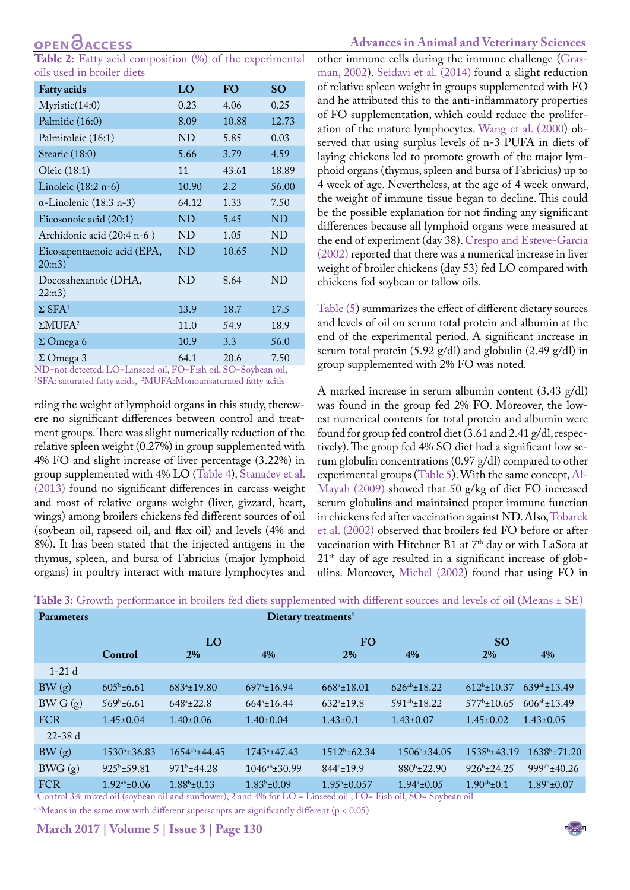# **OPENOACCESS**

**Table 2:** Fatty acid composition (%) of the experimental oils used in broiler diets

| <b>Fatty acids</b>                    | LO    | <b>FO</b> | <b>SO</b> |
|---------------------------------------|-------|-----------|-----------|
| Myristic(14:0)                        | 0.23  | 4.06      | 0.25      |
| Palmitic (16:0)                       | 8.09  | 10.88     | 12.73     |
| Palmitoleic (16:1)                    | ND    | 5.85      | 0.03      |
| Stearic (18:0)                        | 5.66  | 3.79      | 4.59      |
| Oleic (18:1)                          | 11    | 43.61     | 18.89     |
| Linoleic (18:2 n-6)                   | 10.90 | 2.2       | 56.00     |
| $\alpha$ -Linolenic (18:3 n-3)        | 64.12 | 1.33      | 7.50      |
| Eicosonoic acid (20:1)                | ND    | 5.45      | ND        |
| Archidonic acid (20:4 n-6)            | ND    | 1.05      | ND        |
| Eicosapentaenoic acid (EPA,<br>20:n3) | ND    | 10.65     | ND        |
| Docosahexanoic (DHA,<br>22:n3)        | ND    | 8.64      | ND        |
| $\Sigma$ SFA <sup>1</sup>             | 13.9  | 18.7      | 17.5      |
| $\Sigma$ MUFA <sup>2</sup>            | 11.0  | 54.9      | 18.9      |
| $\Sigma$ Omega 6                      | 10.9  | 3.3       | 56.0      |
| $\Sigma$ Omega 3                      | 64.1  | 20.6      | 7.50      |

ND=not detected, LO=Linseed oil, FO=Fish oil, SO=Soybean oil, 1 SFA: saturated fatty acids, 2 MUFA:Monounsaturated fatty acids

rding the weight of lymphoid organs in this study, therewere no significant differences between control and treatment groups. There was slight numerically reduction of the relative spleen weight (0.27%) in group supplemented with 4% FO and slight increase of liver percentage (3.22%) in group supplemented with 4% LO (Table 4). Stanaćev et al. (2013) found no significant differences in carcass weight and most of relative organs weight (liver, gizzard, heart, wings) among broilers chickens fed different sources of oil (soybean oil, rapseed oil, and flax oil) and levels (4% and 8%). It has been stated that the injected antigens in the thymus, spleen, and bursa of Fabricius (major lymphoid organs) in poultry interact with mature lymphocytes and

### **Advances in Animal and Veterinary Sciences**

other immune cells during the immune challenge ([Gras](#page-5-13)[man, 2002](#page-5-13)). [Seidavi et al. \(201](#page-5-14)4) found a slight reduction of relative spleen weight in groups supplemented with FO and he attributed this to the anti-inflammatory properties of FO supplementation, which could reduce the proliferation of the mature lymphocytes. [Wang et al. \(2000\)](#page-5-15) observed that using surplus levels of n-3 PUFA in diets of laying chickens led to promote growth of the major lymphoid organs (thymus, spleen and bursa of Fabricius) up to 4 week of age. Nevertheless, at the age of 4 week onward, the weight of immune tissue began to decline. This could be the possible explanation for not finding any significant differences because all lymphoid organs were measured at the end of experiment (day 38). [Crespo and Esteve-Garcia](#page-4-5)  [\(200](#page-4-5)2) reported that there was a numerical increase in liver weight of broiler chickens (day 53) fed LO compared with chickens fed soybean or tallow oils.

Table (5) summarizes the effect of different dietary sources and levels of oil on serum total protein and albumin at the end of the experimental period. A significant increase in serum total protein (5.92 g/dl) and globulin (2.49 g/dl) in group supplemented with 2% FO was noted.

A marked increase in serum albumin content (3.43 g/dl) was found in the group fed 2% FO. Moreover, the lowest numerical contents for total protein and albumin were found for group fed control diet (3.61 and 2.41 g/dl, respectively). The group fed 4% SO diet had a significant low serum globulin concentrations (0.97 g/dl) compared to other experimental groups (Table 5). With the same concept, [Al-](#page-4-6)[Mayah \(2009](#page-4-6)) showed that 50 g/kg of diet FO increased serum globulins and maintained proper immune function in chickens fed after vaccination against ND. Also, [Tobarek](#page-5-16)  [et al. \(2002](#page-5-16)) observed that broilers fed FO before or after vaccination with Hitchner B1 at 7<sup>th</sup> day or with LaSota at 21th day of age resulted in a significant increase of globulins. Moreover, [Michel \(2002](#page-5-17)) found that using FO in

| <b>Parameters</b>       |                     |                       |                       |                                 |                    |                                                                                       |  |
|-------------------------|---------------------|-----------------------|-----------------------|---------------------------------|--------------------|---------------------------------------------------------------------------------------|--|
| LO                      |                     |                       | <b>FO</b>             |                                 | <b>SO</b>          |                                                                                       |  |
| Control                 | <b>2%</b>           | 4%                    | <b>2%</b>             | $4\%$                           | <b>2%</b>          | $4\%$                                                                                 |  |
|                         |                     |                       |                       |                                 |                    |                                                                                       |  |
| $605^{\rm b}$ ±6.61     | $683^a \pm 19.80$   | $697^{\circ}$ ±16.94  | $668^a \pm 18.01$     | $626^{ab} \pm 18.22$            | $612^b \pm 10.37$  | $639^{ab} \pm 13.49$                                                                  |  |
| $569^{\rm b}$ ±6.61     | $648^{\circ}$ ±22.8 | $664^a \pm 16.44$     | $632^{\circ}$ ±19.8   | $591^{ab} \pm 18.22$            | $577^b \pm 10.65$  | $606^{ab} \pm 13.49$                                                                  |  |
| $1.45 \pm 0.04$         | $1.40\pm0.06$       | $1.40\pm0.04$         | $1.43 \pm 0.1$        | $1.43 \pm 0.07$                 | $1.45 \pm 0.02$    | $1.43 \pm 0.05$                                                                       |  |
|                         |                     |                       |                       |                                 |                    |                                                                                       |  |
| $1530^b \pm 36.83$      | $1654^{ab}$ ± 44.45 | $1743^{\circ}$ ±47.43 | $1512^b \pm 62.34$    | $1506b + 34.05$                 | $1538^b \pm 43.19$ | $1638^b \pm 71.20$                                                                    |  |
| $925^{\rm b} \pm 59.81$ | $971b \pm 44.28$    | $1046^{ab} \pm 30.99$ | $844°+19.9$           | $880^{b} \pm 22.90$             | $926^b \pm 24.25$  | $999^{ab} \pm 40.26$                                                                  |  |
| $1.92^{ab} \pm 0.06$    | $1.88b \pm 0.13$    | $1.83b \pm 0.09$      | $1.95^{\circ}$ ±0.057 | $1.94a_{\pm}0.05$               | $1.90^{ab}$ ±0.1   | $1.89b \pm 0.07$                                                                      |  |
|                         |                     |                       |                       | Dietary treatments <sup>1</sup> |                    | $\mathcal{A}$ and $\mathcal{A}$ and $\mathcal{B}$ and $\mathcal{A}$ and $\mathcal{A}$ |  |

**Table 3:** Growth performance in broilers fed diets supplemented with different sources and levels of oil (Means ± SE)

1 Control 3% mixed oil (soybean oil and sunflower), 2 and 4% for LO = Linseed oil , FO= Fish oil, SO= Soybean oil a,bMeans in the same row with different superscripts are significantly different (p < 0.05)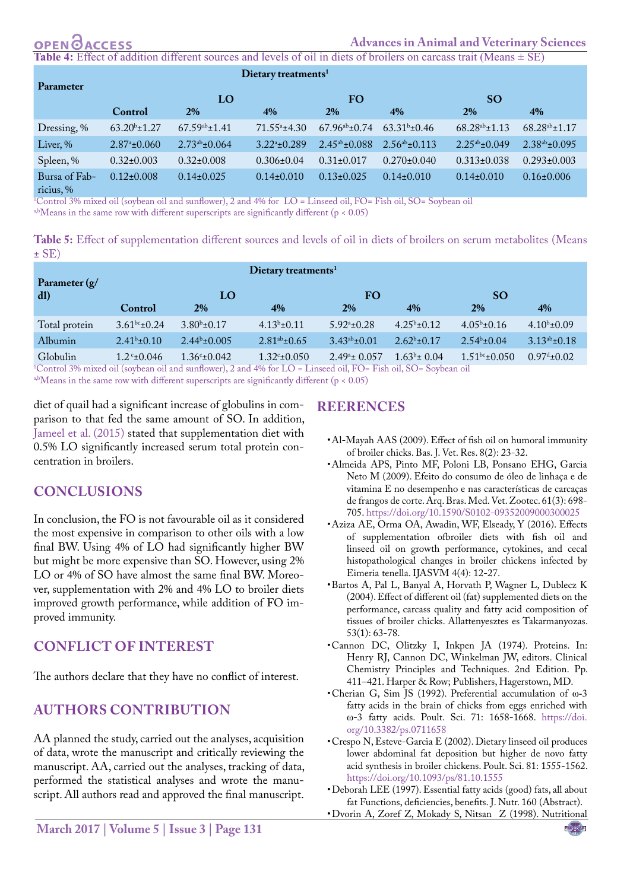#### OPENO **ACCESS**

**Table 4:** Effect of addition different sources and levels of oil in diets of broilers on carcass trait (Means ± SE)

| <b>Parameter</b>           | Dietary treatments <sup>1</sup> |                       |                            |                       |                       |                       |                       |  |  |
|----------------------------|---------------------------------|-----------------------|----------------------------|-----------------------|-----------------------|-----------------------|-----------------------|--|--|
|                            | LO                              |                       |                            | FO.                   |                       | <b>SO</b>             |                       |  |  |
|                            | Control                         | 2%                    | 4%                         | 2%                    | 4%                    | <b>2%</b>             | $4\%$                 |  |  |
| Dressing, %                | $63.20^{\rm b}$ ±1.27           | $67.59^{ab} \pm 1.41$ | $71.55^{\circ}$ ±4.30      | $67.96^{ab} \pm 0.74$ | $63.31b \pm 0.46$     | $68.28^{ab} \pm 1.13$ | $68.28^{ab} \pm 1.17$ |  |  |
| Liver, %                   | $2.87^{\circ}$ ±0.060           | $2.73^{ab} \pm 0.064$ | $3.22^{\mathrm{a}}$ +0.289 | $2.45^{ab} \pm 0.088$ | $2.56^{ab} \pm 0.113$ | $2.25^{ab} \pm 0.049$ | $2.38^{ab} \pm 0.095$ |  |  |
| Spleen, %                  | $0.32 \pm 0.003$                | $0.32 \pm 0.008$      | $0.306 \pm 0.04$           | $0.31 \pm 0.017$      | $0.270 \pm 0.040$     | $0.313 \pm 0.038$     | $0.293 \pm 0.003$     |  |  |
| Bursa of Fab-<br>ricius, % | $0.12 \pm 0.008$                | $0.14\pm0.025$        | $0.14\pm0.010$             | $0.13 \pm 0.025$      | $0.14\pm0.010$        | $0.14\pm0.010$        | $0.16 \pm 0.006$      |  |  |

ricius, % 1 Control 3% mixed oil (soybean oil and sunflower), 2 and 4% for LO = Linseed oil, FO= Fish oil, SO= Soybean oil

a,bMeans in the same row with different superscripts are significantly different ( $p < 0.05$ )

**Table 5:** Effect of supplementation different sources and levels of oil in diets of broilers on serum metabolites (Means  $\pm$  SE)

|                               | Dietary treatments $1$                                  |                                                         |                                           |                        |                         |                    |                            |  |
|-------------------------------|---------------------------------------------------------|---------------------------------------------------------|-------------------------------------------|------------------------|-------------------------|--------------------|----------------------------|--|
| Parameter $(g/$<br>dl)        | LO                                                      |                                                         |                                           | <b>FO</b>              |                         | <b>SO</b>          |                            |  |
|                               | Control                                                 | <b>2%</b>                                               | 4%                                        | 2%                     | $4\%$                   | 2%                 | 4%                         |  |
| Total protein                 | $3.61^{bc} \pm 0.24$                                    | $3.80^{b} \pm 0.17$                                     | $4.13b \pm 0.11$                          | $5.92^{\circ}$ ±0.28   | $4.25^{\rm b} \pm 0.12$ | $4.05^b \pm 0.16$  | $4.10^{b} \pm 0.09$        |  |
| Albumin                       | $2.41^b \pm 0.10$                                       | $2.44b \pm 0.005$                                       | $2.81^{ab} \pm 0.65$                      | $3.43^{ab} \pm 0.01$   | $2.62^b \pm 0.17$       | $2.54^b \pm 0.04$  | $3.13^{ab} \pm 0.18$       |  |
| Globulin<br>$1 \cap 1 \cap 1$ | $1.2^{\circ}$ ±0.046<br>$\bullet$ 1 $\prime$ 1 $\prime$ | $1.36^{\circ} \pm 0.042$<br>$\mathbf{a}$ a $\mathbf{a}$ | $1.32^{\circ}$ ±0.050<br>1.000T T T T T T | $2.49^{\circ}$ ± 0.057 | $1.63^b \pm 0.04$       | $1.51bc \pm 0.050$ | $0.97^{\text{d}} \pm 0.02$ |  |

1 Control 3% mixed oil (soybean oil and sunflower), 2 and 4% for LO = Linseed oil, FO= Fish oil, SO= Soybean oil

a,bMeans in the same row with different superscripts are significantly different (p < 0.05)

diet of quail had a significant increase of globulins in comparison to that fed the same amount of SO. In addition, [Jameel et al. \(201](#page-5-18)5) stated that supplementation diet with 0.5% LO significantly increased serum total protein concentration in broilers.

### **CONCLUSIONS**

In conclusion, the FO is not favourable oil as it considered the most expensive in comparison to other oils with a low final BW. Using 4% of LO had significantly higher BW but might be more expensive than SO. However, using 2% LO or 4% of SO have almost the same final BW. Moreover, supplementation with 2% and 4% LO to broiler diets improved growth performance, while addition of FO improved immunity.

### **CONFLICT OF INTEREST**

The authors declare that they have no conflict of interest.

### **AUTHORS CONTRIBUTION**

AA planned the study, carried out the analyses, acquisition of data, wrote the manuscript and critically reviewing the manuscript. AA, carried out the analyses, tracking of data, performed the statistical analyses and wrote the manuscript. All authors read and approved the final manuscript.

### **REERENCES**

- <span id="page-4-6"></span>•Al-Mayah AAS (2009). Effect of fish oil on humoral immunity of broiler chicks. Bas. J. Vet. Res. 8(2): 23-32.
- •Almeida APS, Pinto MF, Poloni LB, Ponsano EHG, Garcia Neto M (2009). Efeito do consumo de óleo de linhaça e de vitamina E no desempenho e nas características de carcaças de frangos de corte. Arq. Bras. Med. Vet. Zootec. 61(3): 698- 705.<https://doi.org/10.1590/S0102-09352009000300025>
- <span id="page-4-3"></span>•Aziza AE, Orma OA, Awadin, WF, Elseady, Y (2016). Effects of supplementation ofbroiler diets with fish oil and linseed oil on growth performance, cytokines, and cecal histopathological changes in broiler chickens infected by Eimeria tenella. IJASVM 4(4): 12-27.
- <span id="page-4-4"></span>•Bartos A, Pal L, Banyal A, Horvath P, Wagner L, Dublecz K (2004). Effect of different oil (fat) supplemented diets on the performance, carcass quality and fatty acid composition of tissues of broiler chicks. Allattenyesztes es Takarmanyozas. 53(1): 63-78.
- <span id="page-4-2"></span>•Cannon DC, Olitzky I, Inkpen JA (1974). Proteins. In: Henry RJ, Cannon DC, Winkelman JW, editors. Clinical Chemistry Principles and Techniques. 2nd Edition. Pp. 411–421. Harper & Row; Publishers, Hagerstown, MD.
- •Cherian G, Sim JS (1992). Preferential accumulation of ω-3 fatty acids in the brain of chicks from eggs enriched with ω-3 fatty acids. Poult. Sci. 71: 1658-1668. [https://doi.](https://doi.org/10.3382/ps.0711658 ) [org/10.3382/ps.0711658](https://doi.org/10.3382/ps.0711658 )
- <span id="page-4-5"></span>•Crespo N, Esteve-Garcia E (2002). Dietary linseed oil produces lower abdominal fat deposition but higher de novo fatty acid synthesis in broiler chickens. Poult. Sci. 81: 1555-1562. [https://doi.org/10.1093/ps/81.10.1555](https://doi.org/10.1093/ps/81.10.1555 )
- <span id="page-4-1"></span>•Deborah LEE (1997). Essential fatty acids (good) fats, all about fat Functions, deficiencies, benefits. J. Nutr. 160 (Abstract).
- <span id="page-4-0"></span>•Dvorin A, Zoref Z, Mokady S, Nitsan Z (1998). Nutritional